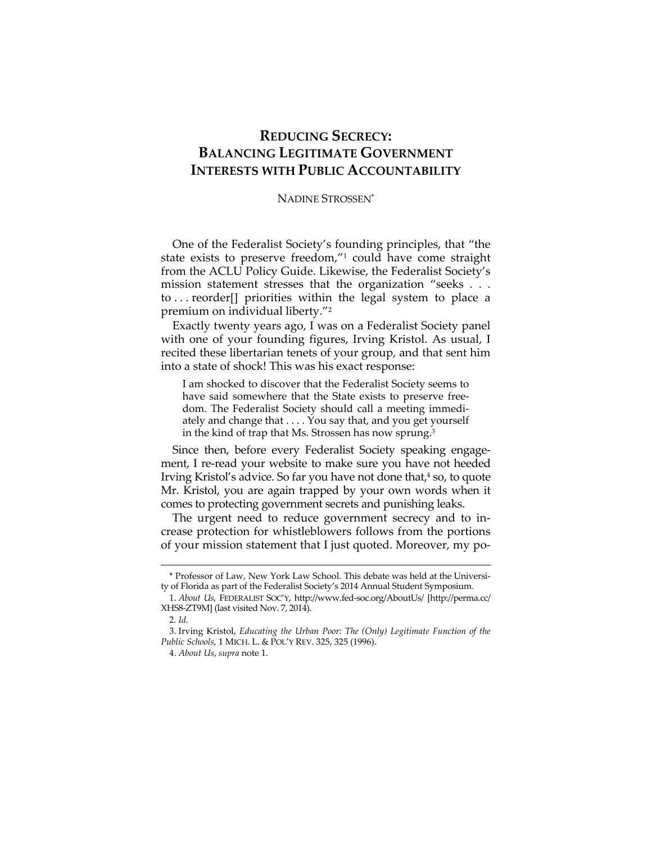## **REDUCING SECRECY: BALANCING LEGITIMATE GOVERNMENT INTERESTS WITH PUBLIC ACCOUNTABILITY**

## NADINE STROSSEN\*

One of the Federalist Society's founding principles, that "the state exists to preserve freedom,"1 could have come straight from the ACLU Policy Guide. Likewise, the Federalist Society's mission statement stresses that the organization "seeks . . . to . . . reorder[] priorities within the legal system to place a premium on individual liberty."2

Exactly twenty years ago, I was on a Federalist Society panel with one of your founding figures, Irving Kristol. As usual, I recited these libertarian tenets of your group, and that sent him into a state of shock! This was his exact response:

I am shocked to discover that the Federalist Society seems to have said somewhere that the State exists to preserve freedom. The Federalist Society should call a meeting immediately and change that . . . . You say that, and you get yourself in the kind of trap that Ms. Strossen has now sprung.3

Since then, before every Federalist Society speaking engagement, I re-read your website to make sure you have not heeded Irving Kristol's advice. So far you have not done that, $4 \text{ so}$ , to quote Mr. Kristol, you are again trapped by your own words when it comes to protecting government secrets and punishing leaks.

The urgent need to reduce government secrecy and to increase protection for whistleblowers follows from the portions of your mission statement that I just quoted. Moreover, my po-

<sup>\*</sup> Professor of Law, New York Law School. This debate was held at the University of Florida as part of the Federalist Society's 2014 Annual Student Symposium.

 <sup>1.</sup> *About Us*, FEDERALIST SOC'Y, http://www.fed-soc.org/AboutUs/ [http://perma.cc/ XHS8-ZT9M] (last visited Nov. 7, 2014).

<sup>2</sup>*. Id.*

 <sup>3.</sup> Irving Kristol, *Educating the Urban Poor: The (Only) Legitimate Function of the Public Schools*, 1 MICH. L. & POL'Y REV. 325, 325 (1996).

 <sup>4.</sup> *About Us*, *supra* note 1.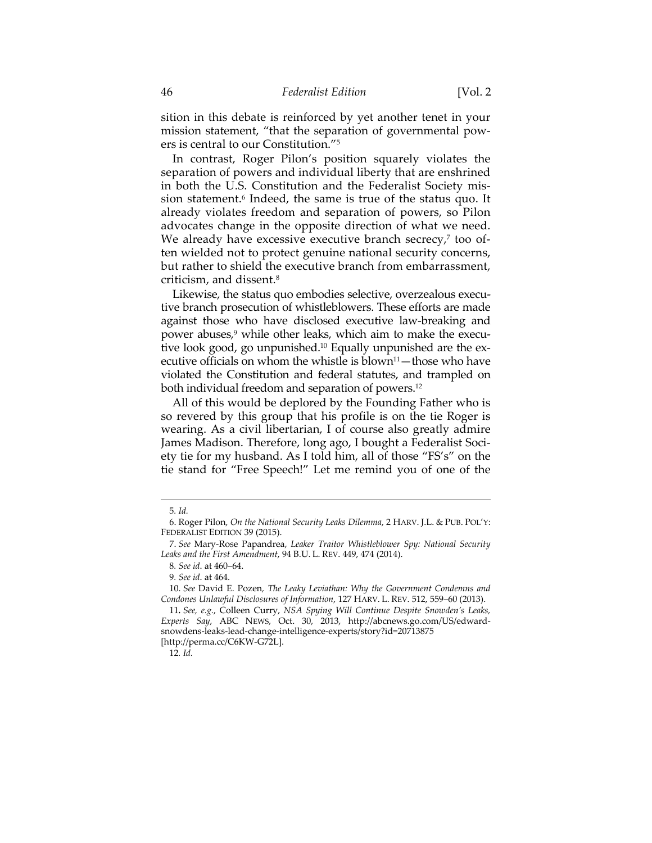sition in this debate is reinforced by yet another tenet in your mission statement, "that the separation of governmental powers is central to our Constitution."5

In contrast, Roger Pilon's position squarely violates the separation of powers and individual liberty that are enshrined in both the U.S. Constitution and the Federalist Society mission statement.<sup>6</sup> Indeed, the same is true of the status quo. It already violates freedom and separation of powers, so Pilon advocates change in the opposite direction of what we need. We already have excessive executive branch secrecy,<sup>7</sup> too often wielded not to protect genuine national security concerns, but rather to shield the executive branch from embarrassment, criticism, and dissent.8

Likewise, the status quo embodies selective, overzealous executive branch prosecution of whistleblowers. These efforts are made against those who have disclosed executive law-breaking and power abuses,<sup>9</sup> while other leaks, which aim to make the executive look good, go unpunished.10 Equally unpunished are the executive officials on whom the whistle is blown<sup>11</sup>—those who have violated the Constitution and federal statutes, and trampled on both individual freedom and separation of powers.12

All of this would be deplored by the Founding Father who is so revered by this group that his profile is on the tie Roger is wearing. As a civil libertarian, I of course also greatly admire James Madison. Therefore, long ago, I bought a Federalist Society tie for my husband. As I told him, all of those "FS's" on the tie stand for "Free Speech!" Let me remind you of one of the

<sup>5</sup>*. Id.*

 <sup>6.</sup> Roger Pilon, *On the National Security Leaks Dilemma*, 2 HARV. J.L. & PUB. POL'Y: FEDERALIST EDITION 39 (2015).

 <sup>7.</sup> *See* Mary-Rose Papandrea, *Leaker Traitor Whistleblower Spy: National Security Leaks and the First Amendment*, 94 B.U. L. REV. 449, 474 (2014).

<sup>8</sup>*. See id*. at 460–64.

<sup>9</sup>*. See id*. at 464.

 <sup>10.</sup> *See* David E. Pozen*, The Leaky Leviathan: Why the Government Condemns and Condones Unlawful Disclosures of Information*, 127 HARV. L. REV. 512, 559–60 (2013).

<sup>11</sup>*. See, e.g.*, Colleen Curry, *NSA Spying Will Continue Despite Snowden's Leaks, Experts Say*, ABC NEWS, Oct. 30, 2013, http://abcnews.go.com/US/edwardsnowdens-leaks-lead-change-intelligence-experts/story?id=20713875 [http://perma.cc/C6KW-G72L].

<sup>12</sup>*. Id.*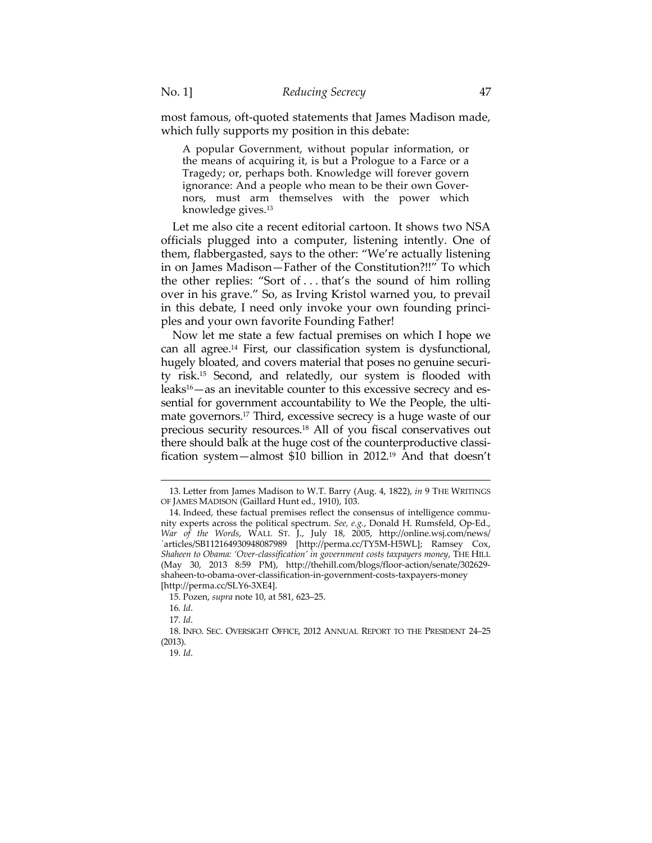most famous, oft-quoted statements that James Madison made, which fully supports my position in this debate:

A popular Government, without popular information, or the means of acquiring it, is but a Prologue to a Farce or a Tragedy; or, perhaps both. Knowledge will forever govern ignorance: And a people who mean to be their own Governors, must arm themselves with the power which knowledge gives.13

Let me also cite a recent editorial cartoon. It shows two NSA officials plugged into a computer, listening intently. One of them, flabbergasted, says to the other: "We're actually listening in on James Madison—Father of the Constitution?!!" To which the other replies: "Sort of . . . that's the sound of him rolling over in his grave." So, as Irving Kristol warned you, to prevail in this debate, I need only invoke your own founding principles and your own favorite Founding Father!

Now let me state a few factual premises on which I hope we can all agree.14 First, our classification system is dysfunctional, hugely bloated, and covers material that poses no genuine security risk.15 Second, and relatedly, our system is flooded with leaks<sup>16</sup>—as an inevitable counter to this excessive secrecy and essential for government accountability to We the People, the ultimate governors.17 Third, excessive secrecy is a huge waste of our precious security resources.18 All of you fiscal conservatives out there should balk at the huge cost of the counterproductive classification system—almost \$10 billion in 2012.19 And that doesn't

 <sup>13.</sup> Letter from James Madison to W.T. Barry (Aug. 4, 1822), *in* 9 THE WRITINGS OF JAMES MADISON (Gaillard Hunt ed., 1910), 103.

 <sup>14.</sup> Indeed, these factual premises reflect the consensus of intelligence community experts across the political spectrum. *See, e.g.*, Donald H. Rumsfeld, Op-Ed., *War of the Words*, WALL ST. J., July 18, 2005, http://online.wsj.com/news/ `articles/SB112164930948087989 [http://perma.cc/TY5M-H5WL]; Ramsey Cox, *Shaheen to Obama: 'Over-classification' in government costs taxpayers money*, THE HILL (May 30, 2013 8:59 PM), http://thehill.com/blogs/floor-action/senate/302629 shaheen-to-obama-over-classification-in-government-costs-taxpayers-money [http://perma.cc/SLY6-3XE4].

 <sup>15.</sup> Pozen, *supra* note 10, at 581, 623–25.

<sup>16</sup>*. Id*.

<sup>17</sup>*. Id*.

 <sup>18.</sup> INFO. SEC. OVERSIGHT OFFICE, 2012 ANNUAL REPORT TO THE PRESIDENT 24–25 (2013).

<sup>19</sup>*. Id*.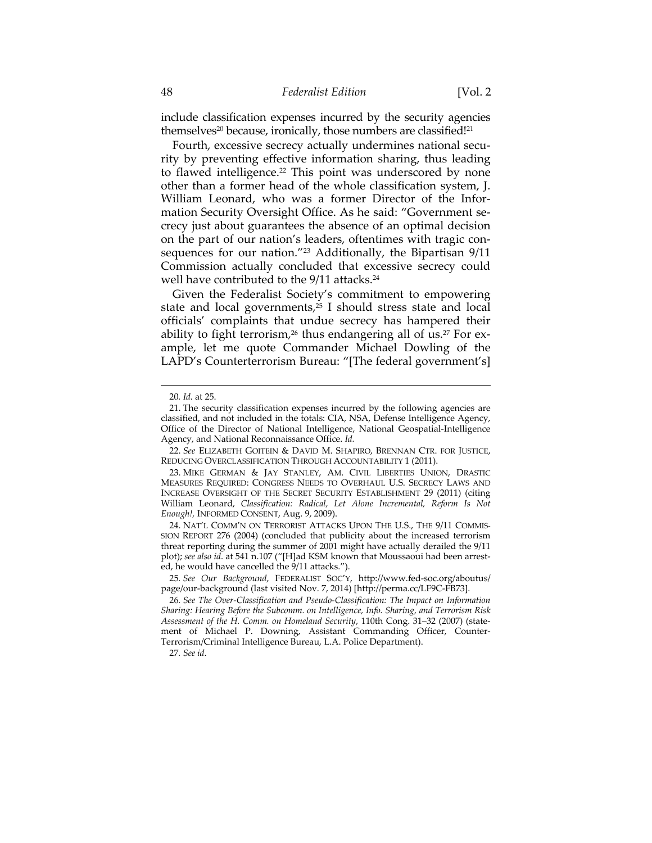include classification expenses incurred by the security agencies themselves<sup>20</sup> because, ironically, those numbers are classified!<sup>21</sup>

Fourth, excessive secrecy actually undermines national security by preventing effective information sharing, thus leading to flawed intelligence.<sup>22</sup> This point was underscored by none other than a former head of the whole classification system, J. William Leonard, who was a former Director of the Information Security Oversight Office. As he said: "Government secrecy just about guarantees the absence of an optimal decision on the part of our nation's leaders, oftentimes with tragic consequences for our nation."23 Additionally, the Bipartisan 9/11 Commission actually concluded that excessive secrecy could well have contributed to the 9/11 attacks.<sup>24</sup>

Given the Federalist Society's commitment to empowering state and local governments, $25$  I should stress state and local officials' complaints that undue secrecy has hampered their ability to fight terrorism,<sup>26</sup> thus endangering all of us.<sup>27</sup> For example, let me quote Commander Michael Dowling of the LAPD's Counterterrorism Bureau: "[The federal government's]

 $\overline{a}$ 

 24. NAT'L COMM'N ON TERRORIST ATTACKS UPON THE U.S., THE 9/11 COMMIS-SION REPORT 276 (2004) (concluded that publicity about the increased terrorism threat reporting during the summer of 2001 might have actually derailed the 9/11 plot); *see also id*. at 541 n.107 ("[H]ad KSM known that Moussaoui had been arrested, he would have cancelled the 9/11 attacks.").

27*. See id*.

<sup>20</sup>*. Id.* at 25.

 <sup>21.</sup> The security classification expenses incurred by the following agencies are classified, and not included in the totals: CIA, NSA, Defense Intelligence Agency, Office of the Director of National Intelligence, National Geospatial-Intelligence Agency, and National Reconnaissance Office. *Id.*

 <sup>22.</sup> *See* ELIZABETH GOITEIN & DAVID M. SHAPIRO, BRENNAN CTR. FOR JUSTICE, REDUCING OVERCLASSIFICATION THROUGH ACCOUNTABILITY 1 (2011).

 <sup>23.</sup> MIKE GERMAN & JAY STANLEY, AM. CIVIL LIBERTIES UNION, DRASTIC MEASURES REQUIRED: CONGRESS NEEDS TO OVERHAUL U.S. SECRECY LAWS AND INCREASE OVERSIGHT OF THE SECRET SECURITY ESTABLISHMENT 29 (2011) (citing William Leonard, *Classification: Radical, Let Alone Incremental, Reform Is Not Enough!,* INFORMED CONSENT, Aug. 9, 2009).

<sup>25</sup>*. See Our Background*, FEDERALIST SOC'Y, http://www.fed-soc.org/aboutus/ page/our-background (last visited Nov. 7, 2014) [http://perma.cc/LF9C-FB73].

<sup>26</sup>*. See The Over-Classification and Pseudo-Classification: The Impact on Information Sharing: Hearing Before the Subcomm. on Intelligence, Info. Sharing, and Terrorism Risk Assessment of the H. Comm. on Homeland Security*, 110th Cong. 31–32 (2007) (statement of Michael P. Downing, Assistant Commanding Officer, Counter-Terrorism/Criminal Intelligence Bureau, L.A. Police Department).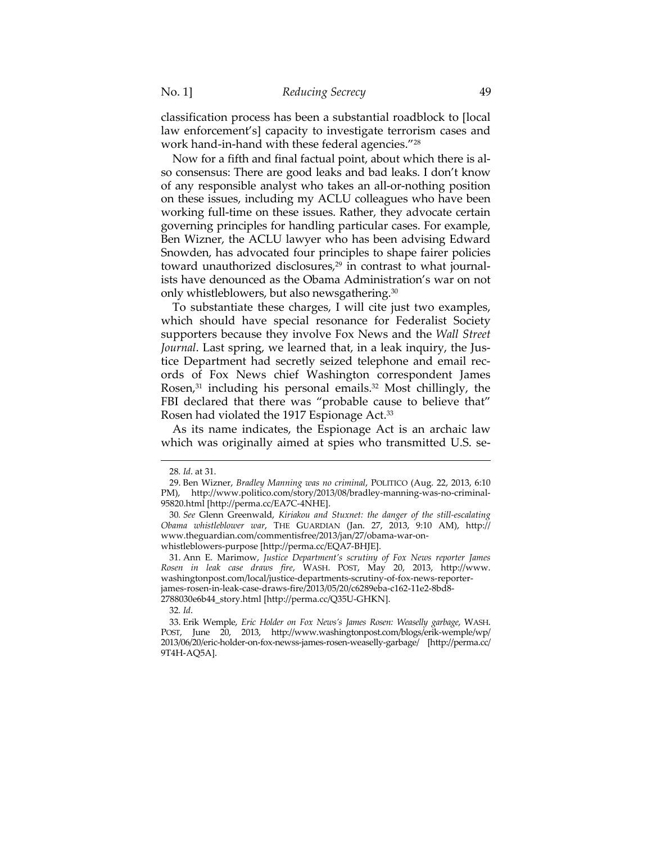classification process has been a substantial roadblock to [local law enforcement's] capacity to investigate terrorism cases and work hand-in-hand with these federal agencies."28

Now for a fifth and final factual point, about which there is also consensus: There are good leaks and bad leaks. I don't know of any responsible analyst who takes an all-or-nothing position on these issues, including my ACLU colleagues who have been working full-time on these issues. Rather, they advocate certain governing principles for handling particular cases. For example, Ben Wizner, the ACLU lawyer who has been advising Edward Snowden, has advocated four principles to shape fairer policies toward unauthorized disclosures,<sup>29</sup> in contrast to what journalists have denounced as the Obama Administration's war on not only whistleblowers, but also newsgathering.30

To substantiate these charges, I will cite just two examples, which should have special resonance for Federalist Society supporters because they involve Fox News and the *Wall Street Journal*. Last spring, we learned that, in a leak inquiry, the Justice Department had secretly seized telephone and email records of Fox News chief Washington correspondent James Rosen,<sup>31</sup> including his personal emails.<sup>32</sup> Most chillingly, the FBI declared that there was "probable cause to believe that" Rosen had violated the 1917 Espionage Act.<sup>33</sup>

As its name indicates, the Espionage Act is an archaic law which was originally aimed at spies who transmitted U.S. se-

<sup>28</sup>*. Id*. at 31.

 <sup>29.</sup> Ben Wizner, *Bradley Manning was no criminal*, POLITICO (Aug. 22, 2013, 6:10 PM), http://www.politico.com/story/2013/08/bradley-manning-was-no-criminal-95820.html [http://perma.cc/EA7C-4NHE].

<sup>30</sup>*. See* Glenn Greenwald, *Kiriakou and Stuxnet: the danger of the still-escalating Obama whistleblower war*, THE GUARDIAN (Jan. 27, 2013, 9:10 AM), http:// www.theguardian.com/commentisfree/2013/jan/27/obama-war-onwhistleblowers-purpose [http://perma.cc/EQA7-BHJE].

 <sup>31.</sup> Ann E. Marimow, *Justice Department's scrutiny of Fox News reporter James Rosen in leak case draws fire*, WASH. POST, May 20, 2013, http://www. washingtonpost.com/local/justice-departments-scrutiny-of-fox-news-reporterjames-rosen-in-leak-case-draws-fire/2013/05/20/c6289eba-c162-11e2-8bd8-

<sup>2788030</sup>e6b44\_story.html [http://perma.cc/Q35U-GHKN].

<sup>32</sup>*. Id*.

 <sup>33.</sup> Erik Wemple, *Eric Holder on Fox News's James Rosen: Weaselly garbage*, WASH. POST, June 20, 2013, http://www.washingtonpost.com/blogs/erik-wemple/wp/ 2013/06/20/eric-holder-on-fox-newss-james-rosen-weaselly-garbage/ [http://perma.cc/ 9T4H-AQ5A].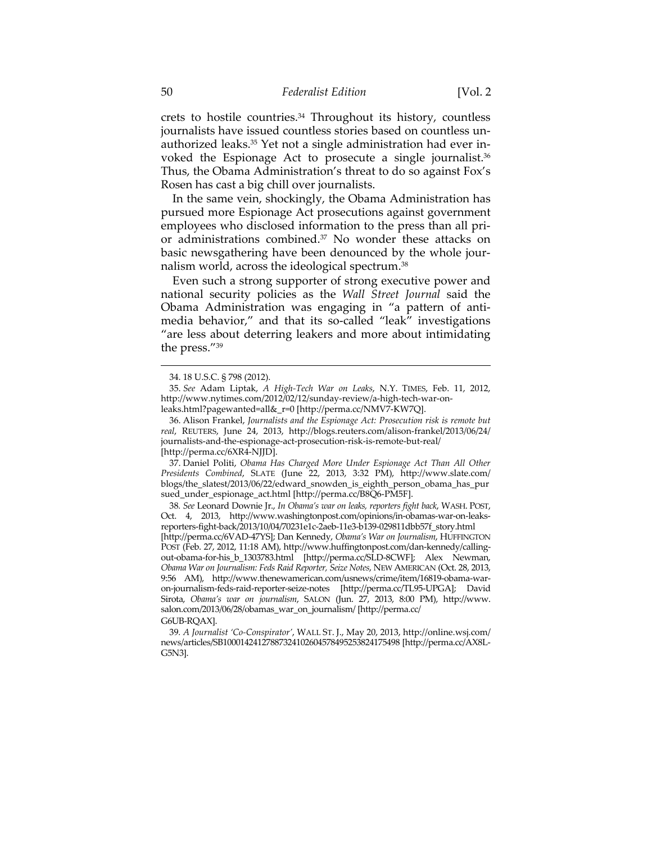crets to hostile countries.34 Throughout its history, countless journalists have issued countless stories based on countless unauthorized leaks.35 Yet not a single administration had ever invoked the Espionage Act to prosecute a single journalist.<sup>36</sup> Thus, the Obama Administration's threat to do so against Fox's Rosen has cast a big chill over journalists.

In the same vein, shockingly, the Obama Administration has pursued more Espionage Act prosecutions against government employees who disclosed information to the press than all prior administrations combined.37 No wonder these attacks on basic newsgathering have been denounced by the whole journalism world, across the ideological spectrum.38

Even such a strong supporter of strong executive power and national security policies as the *Wall Street Journal* said the Obama Administration was engaging in "a pattern of antimedia behavior," and that its so-called "leak" investigations "are less about deterring leakers and more about intimidating the press."39

 37. Daniel Politi, *Obama Has Charged More Under Espionage Act Than All Other Presidents Combined*, SLATE (June 22, 2013, 3:32 PM), http://www.slate.com/ blogs/the\_slatest/2013/06/22/edward\_snowden\_is\_eighth\_person\_obama\_has\_pur sued\_under\_espionage\_act.html [http://perma.cc/B8Q6-PM5F].

38*. See* Leonard Downie Jr., *In Obama's war on leaks, reporters fight back*, WASH. POST, Oct. 4, 2013, http://www.washingtonpost.com/opinions/in-obamas-war-on-leaksreporters-fight-back/2013/10/04/70231e1c-2aeb-11e3-b139-029811dbb57f\_story.html [http://perma.cc/6VAD-47YS]; Dan Kennedy, *Obama's War on Journalism*, HUFFINGTON POST (Feb. 27, 2012, 11:18 AM), http://www.huffingtonpost.com/dan-kennedy/callingout-obama-for-his\_b\_1303783.html [http://perma.cc/SLD-8CWF]; Alex Newman, *Obama War on Journalism: Feds Raid Reporter, Seize Notes*, NEW AMERICAN (Oct. 28, 2013, 9:56 AM), http://www.thenewamerican.com/usnews/crime/item/16819-obama-waron-journalism-feds-raid-reporter-seize-notes [http://perma.cc/TL95-UPGA]; David Sirota, *Obama's war on journalism*, SALON (Jun. 27, 2013, 8:00 PM), http://www. salon.com/2013/06/28/obamas\_war\_on\_journalism/ [http://perma.cc/

 <sup>34. 18</sup> U.S.C. § 798 (2012).

 <sup>35.</sup> *See* Adam Liptak, *A High-Tech War on Leaks*, N.Y. TIMES, Feb. 11, 2012, http://www.nytimes.com/2012/02/12/sunday-review/a-high-tech-war-onleaks.html?pagewanted=all&\_r=0 [http://perma.cc/NMV7-KW7Q].

 <sup>36.</sup> Alison Frankel, *Journalists and the Espionage Act: Prosecution risk is remote but real*, REUTERS, June 24, 2013, http://blogs.reuters.com/alison-frankel/2013/06/24/ journalists-and-the-espionage-act-prosecution-risk-is-remote-but-real/ [http://perma.cc/6XR4-NJJD].

G6UB-RQAX].

<sup>39</sup>*. A Journalist 'Co-Conspirator'*, WALL ST. J., May 20, 2013, http://online.wsj.com/ news/articles/SB10001424127887324102604578495253824175498 [http://perma.cc/AX8L-G5N3].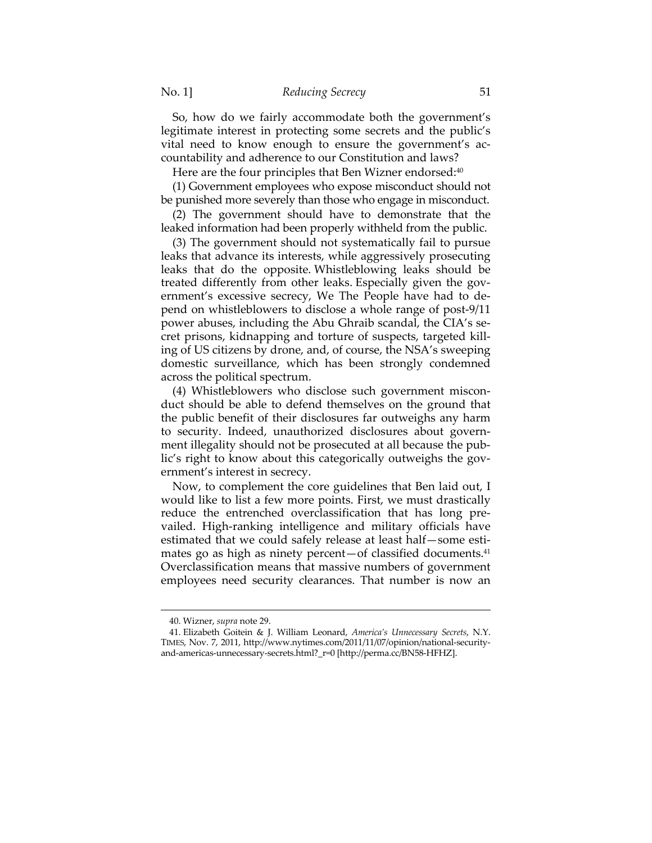So, how do we fairly accommodate both the government's legitimate interest in protecting some secrets and the public's vital need to know enough to ensure the government's accountability and adherence to our Constitution and laws?

Here are the four principles that Ben Wizner endorsed:<sup>40</sup>

(1) Government employees who expose misconduct should not be punished more severely than those who engage in misconduct.

(2) The government should have to demonstrate that the leaked information had been properly withheld from the public.

(3) The government should not systematically fail to pursue leaks that advance its interests, while aggressively prosecuting leaks that do the opposite. Whistleblowing leaks should be treated differently from other leaks. Especially given the government's excessive secrecy, We The People have had to depend on whistleblowers to disclose a whole range of post-9/11 power abuses, including the Abu Ghraib scandal, the CIA's secret prisons, kidnapping and torture of suspects, targeted killing of US citizens by drone, and, of course, the NSA's sweeping domestic surveillance, which has been strongly condemned across the political spectrum.

(4) Whistleblowers who disclose such government misconduct should be able to defend themselves on the ground that the public benefit of their disclosures far outweighs any harm to security. Indeed, unauthorized disclosures about government illegality should not be prosecuted at all because the public's right to know about this categorically outweighs the government's interest in secrecy.

Now, to complement the core guidelines that Ben laid out, I would like to list a few more points. First, we must drastically reduce the entrenched overclassification that has long prevailed. High-ranking intelligence and military officials have estimated that we could safely release at least half—some estimates go as high as ninety percent—of classified documents.<sup>41</sup> Overclassification means that massive numbers of government employees need security clearances. That number is now an

 <sup>40.</sup> Wizner, *supra* note 29.

 <sup>41.</sup> Elizabeth Goitein & J. William Leonard, *America's Unnecessary Secrets*, N.Y. TIMES, Nov. 7, 2011, http://www.nytimes.com/2011/11/07/opinion/national-securityand-americas-unnecessary-secrets.html?\_r=0 [http://perma.cc/BN58-HFHZ].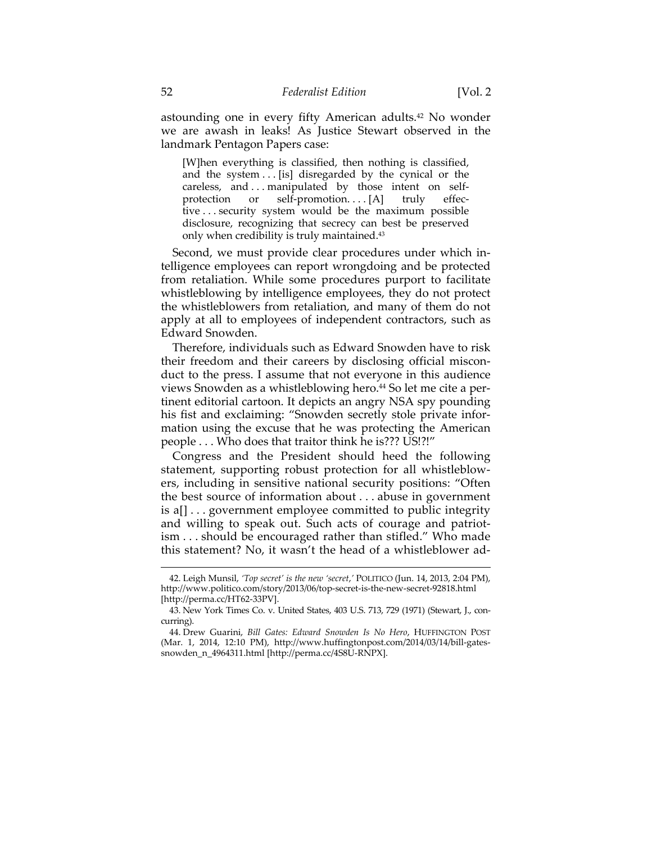astounding one in every fifty American adults.42 No wonder we are awash in leaks! As Justice Stewart observed in the landmark Pentagon Papers case:

[W]hen everything is classified, then nothing is classified, and the system . . . [is] disregarded by the cynical or the careless, and . . . manipulated by those intent on selfprotection or self-promotion....[A] truly effective . . . security system would be the maximum possible disclosure, recognizing that secrecy can best be preserved only when credibility is truly maintained.43

Second, we must provide clear procedures under which intelligence employees can report wrongdoing and be protected from retaliation. While some procedures purport to facilitate whistleblowing by intelligence employees, they do not protect the whistleblowers from retaliation, and many of them do not apply at all to employees of independent contractors, such as Edward Snowden.

Therefore, individuals such as Edward Snowden have to risk their freedom and their careers by disclosing official misconduct to the press. I assume that not everyone in this audience views Snowden as a whistleblowing hero.<sup>44</sup> So let me cite a pertinent editorial cartoon. It depicts an angry NSA spy pounding his fist and exclaiming: "Snowden secretly stole private information using the excuse that he was protecting the American people . . . Who does that traitor think he is??? US!?!"

Congress and the President should heed the following statement, supporting robust protection for all whistleblowers, including in sensitive national security positions: "Often the best source of information about . . . abuse in government is a[] . . . government employee committed to public integrity and willing to speak out. Such acts of courage and patriotism . . . should be encouraged rather than stifled." Who made this statement? No, it wasn't the head of a whistleblower ad-

 <sup>42.</sup> Leigh Munsil, *'Top secret' is the new 'secret*,*'* POLITICO (Jun. 14, 2013, 2:04 PM), http://www.politico.com/story/2013/06/top-secret-is-the-new-secret-92818.html [http://perma.cc/HT62-33PV].

 <sup>43.</sup> New York Times Co. v. United States, 403 U.S. 713, 729 (1971) (Stewart, J., concurring).

 <sup>44.</sup> Drew Guarini, *Bill Gates: Edward Snowden Is No Hero*, HUFFINGTON POST (Mar. 1, 2014, 12:10 PM), http://www.huffingtonpost.com/2014/03/14/bill-gatessnowden\_n\_4964311.html [http://perma.cc/4S8U-RNPX].